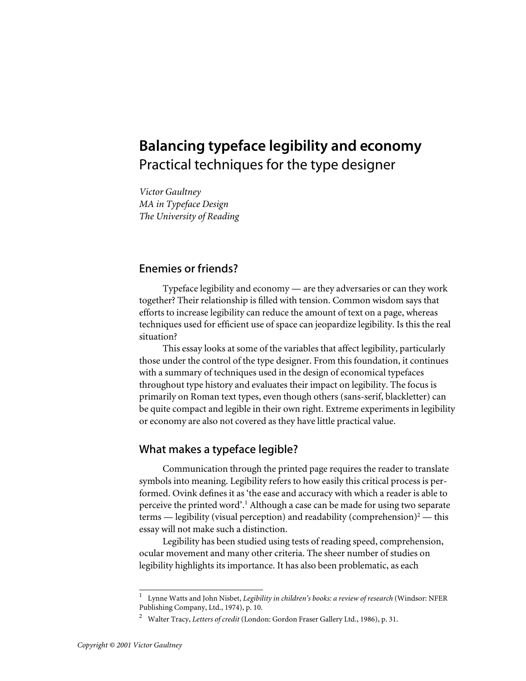## **Balancing typeface legibility and economy** Practical techniques for the type designer

*Victor Gaultney MA in Typeface Design The University of Reading*

## Enemies or friends?

Typeface legibility and economy — are they adversaries or can they work together? Their relationship is filled with tension. Common wisdom says that efforts to increase legibility can reduce the amount of text on a page, whereas techniques used for efficient use of space can jeopardize legibility. Is this the real situation?

This essay looks at some of the variables that affect legibility, particularly those under the control of the type designer. From this foundation, it continues with a summary of techniques used in the design of economical typefaces throughout type history and evaluates their impact on legibility. The focus is primarily on Roman text types, even though others (sans-serif, blackletter) can be quite compact and legible in their own right. Extreme experiments in legibility or economy are also not covered as they have little practical value.

## What makes a typeface legible?

Communication through the printed page requires the reader to translate symbols into meaning. Legibility refers to how easily this critical process is performed. Ovink defines it as 'the ease and accuracy with which a reader is able to perceive the printed word'.<sup>1</sup> Although a case can be made for using two separate terms — legibility (visual perception) and readability (comprehension)<sup>2</sup> — this essay will not make such a distinction.

Legibility has been studied using tests of reading speed, comprehension, ocular movement and many other criteria. The sheer number of studies on legibility highlights its importance. It has also been problematic, as each

<sup>1</sup>Lynne Watts and John Nisbet, *Legibility in children's books: a review of research* (Windsor: NFER Publishing Company, Ltd., 1974), p. 10.

<sup>2</sup>Walter Tracy, *Letters of credit* (London: Gordon Fraser Gallery Ltd., 1986), p. 31.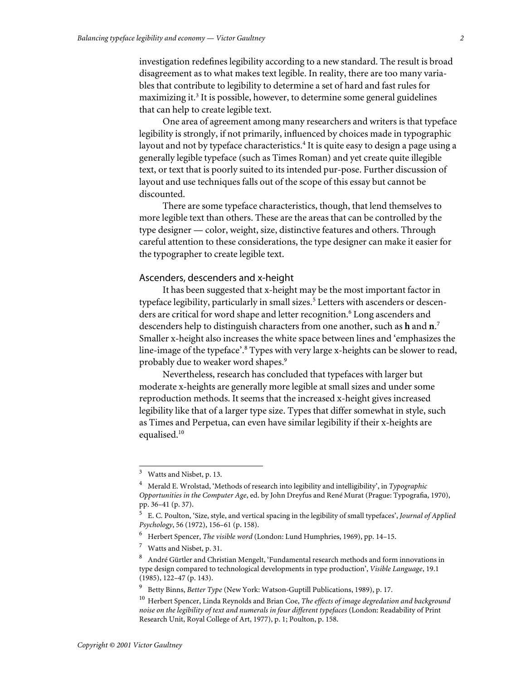investigation redefines legibility according to a new standard. The result is broad disagreement as to what makes text legible. In reality, there are too many variables that contribute to legibility to determine a set of hard and fast rules for maximizing it.<sup>3</sup> It is possible, however, to determine some general guidelines that can help to create legible text.

One area of agreement among many researchers and writers is that typeface legibility is strongly, if not primarily, influenced by choices made in typographic layout and not by typeface characteristics.<sup>4</sup> It is quite easy to design a page using a generally legible typeface (such as Times Roman) and yet create quite illegible text, or text that is poorly suited to its intended pur-pose. Further discussion of layout and use techniques falls out of the scope of this essay but cannot be discounted.

There are some typeface characteristics, though, that lend themselves to more legible text than others. These are the areas that can be controlled by the type designer — color, weight, size, distinctive features and others. Through careful attention to these considerations, the type designer can make it easier for the typographer to create legible text.

## Ascenders, descenders and x-height

It has been suggested that x-height may be the most important factor in typeface legibility, particularly in small sizes.<sup>5</sup> Letters with ascenders or descenders are critical for word shape and letter recognition.<sup>6</sup> Long ascenders and descenders help to distinguish characters from one another, such as **h** and **n**. 7 Smaller x-height also increases the white space between lines and 'emphasizes the line-image of the typeface'.<sup>8</sup> Types with very large x-heights can be slower to read, probably due to weaker word shapes.<sup>9</sup>

Nevertheless, research has concluded that typefaces with larger but moderate x-heights are generally more legible at small sizes and under some reproduction methods. It seems that the increased x-height gives increased legibility like that of a larger type size. Types that differ somewhat in style, such as Times and Perpetua, can even have similar legibility if their x-heights are equalised.<sup>10</sup>

Watts and Nisbet, p. 13.

<sup>4</sup>Merald E. Wrolstad, 'Methods of research into legibility and intelligibility', in *Typographic Opportunities in the Computer Age*, ed. by John Dreyfus and René Murat (Prague: Typografia, 1970), pp. 36–41 (p. 37).

<sup>5</sup>E. C. Poulton, 'Size, style, and vertical spacing in the legibility of small typefaces', *Journal of Applied Psychology*, 56 (1972), 156–61 (p. 158).

<sup>&</sup>lt;sup>6</sup> Herbert Spencer, *The visible word* (London: Lund Humphries, 1969), pp. 14-15.

 $\frac{7}{1}$  Watts and Nisbet, p. 31.

<sup>8</sup>André Gürtler and Christian Mengelt, 'Fundamental research methods and form innovations in type design compared to technological developments in type production', *Visible Language*, 19.1 (1985), 122–47 (p. 143).

<sup>&</sup>lt;sup>9</sup> Betty Binns, *Better Type* (New York: Watson-Guptill Publications, 1989), p. 17.

<sup>&</sup>lt;sup>10</sup> Herbert Spencer, Linda Reynolds and Brian Coe, *The effects of image degredation and background noise on the legibility of text and numerals in four different typefaces* (London: Readability of Print Research Unit, Royal College of Art, 1977), p. 1; Poulton, p. 158.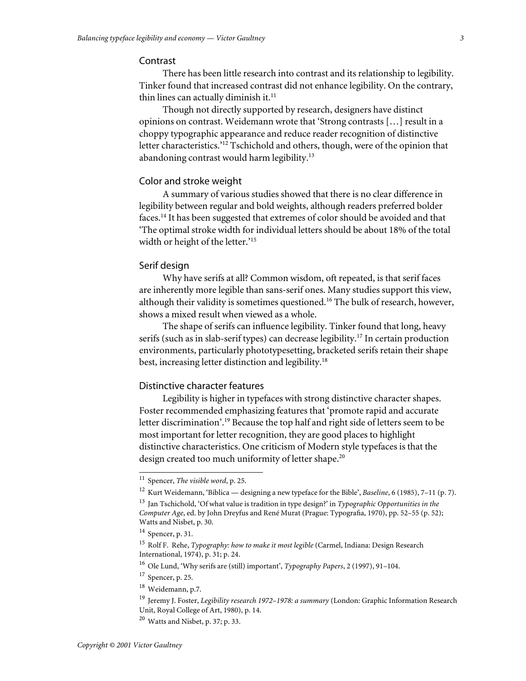## Contrast

There has been little research into contrast and its relationship to legibility. Tinker found that increased contrast did not enhance legibility. On the contrary, thin lines can actually diminish it. $<sup>11</sup>$ </sup>

Though not directly supported by research, designers have distinct opinions on contrast. Weidemann wrote that 'Strong contrasts […] result in a choppy typographic appearance and reduce reader recognition of distinctive letter characteristics.'<sup>12</sup> Tschichold and others, though, were of the opinion that abandoning contrast would harm legibility.<sup>13</sup>

## Color and stroke weight

A summary of various studies showed that there is no clear difference in legibility between regular and bold weights, although readers preferred bolder faces.<sup>14</sup> It has been suggested that extremes of color should be avoided and that 'The optimal stroke width for individual letters should be about 18% of the total width or height of the letter.'<sup>15</sup>

## Serif design

Why have serifs at all? Common wisdom, oft repeated, is that serif faces are inherently more legible than sans-serif ones. Many studies support this view, although their validity is sometimes questioned.<sup>16</sup> The bulk of research, however, shows a mixed result when viewed as a whole.

The shape of serifs can influence legibility. Tinker found that long, heavy serifs (such as in slab-serif types) can decrease legibility.<sup>17</sup> In certain production environments, particularly phototypesetting, bracketed serifs retain their shape best, increasing letter distinction and legibility.<sup>18</sup>

## Distinctive character features

Legibility is higher in typefaces with strong distinctive character shapes. Foster recommended emphasizing features that 'promote rapid and accurate letter discrimination'.<sup>19</sup> Because the top half and right side of letters seem to be most important for letter recognition, they are good places to highlight distinctive characteristics. One criticism of Modern style typefaces is that the design created too much uniformity of letter shape.<sup>20</sup>

 $17$  Spencer, p. 25.

<sup>&</sup>lt;sup>11</sup> Spencer, *The visible word*, p. 25.

<sup>&</sup>lt;sup>12</sup> Kurt Weidemann, 'Biblica — designing a new typeface for the Bible', *Baseline*, 6 (1985), 7-11 (p. 7).

<sup>&</sup>lt;sup>13</sup> Jan Tschichold, 'Of what value is tradition in type design?' in *Typographic Opportunities in the Computer Age*, ed. by John Dreyfus and René Murat (Prague: Typografia, 1970), pp. 52–55 (p. 52); Watts and Nisbet, p. 30.

<sup>&</sup>lt;sup>14</sup> Spencer, p. 31.

<sup>&</sup>lt;sup>15</sup> Rolf F. Rehe, *Typography: how to make it most legible* (Carmel, Indiana: Design Research International, 1974), p. 31; p. 24.

<sup>&</sup>lt;sup>16</sup> Ole Lund, 'Why serifs are (still) important', *Typography Papers*, 2 (1997), 91-104.

<sup>&</sup>lt;sup>18</sup> Weidemann, p.7.

<sup>&</sup>lt;sup>19</sup> Jeremy J. Foster, *Legibility research 1972-1978: a summary* (London: Graphic Information Research Unit, Royal College of Art, 1980), p. 14.

 $20$  Watts and Nisbet, p. 37; p. 33.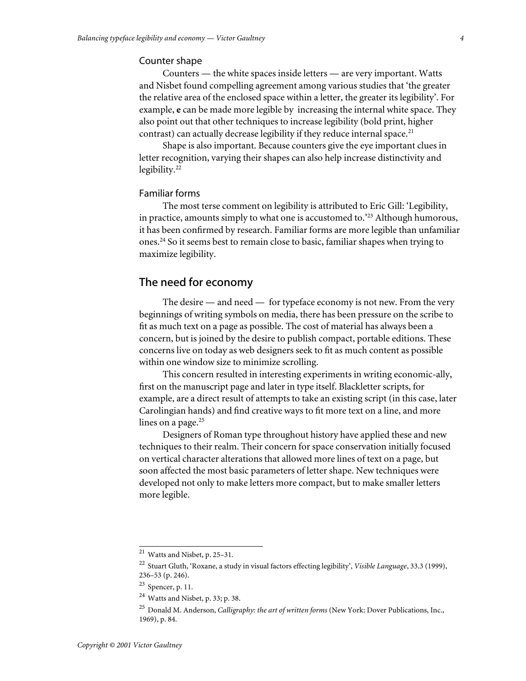#### Counter shape

Counters — the white spaces inside letters — are very important. Watts and Nisbet found compelling agreement among various studies that 'the greater the relative area of the enclosed space within a letter, the greater its legibility'. For example, **e** can be made more legible by increasing the internal white space. They also point out that other techniques to increase legibility (bold print, higher contrast) can actually decrease legibility if they reduce internal space.<sup>21</sup>

Shape is also important. Because counters give the eye important clues in letter recognition, varying their shapes can also help increase distinctivity and legibility. $22$ 

## Familiar forms

The most terse comment on legibility is attributed to Eric Gill: 'Legibility, in practice, amounts simply to what one is accustomed to.<sup>223</sup> Although humorous, it has been confirmed by research. Familiar forms are more legible than unfamiliar ones.<sup>24</sup> So it seems best to remain close to basic, familiar shapes when trying to maximize legibility.

## The need for economy

The desire — and need — for typeface economy is not new. From the very beginnings of writing symbols on media, there has been pressure on the scribe to fit as much text on a page as possible. The cost of material has always been a concern, but is joined by the desire to publish compact, portable editions. These concerns live on today as web designers seek to fit as much content as possible within one window size to minimize scrolling.

This concern resulted in interesting experiments in writing economic-ally, first on the manuscript page and later in type itself. Blackletter scripts, for example, are a direct result of attempts to take an existing script (in this case, later Carolingian hands) and find creative ways to fit more text on a line, and more lines on a page. $25$ 

Designers of Roman type throughout history have applied these and new techniques to their realm. Their concern for space conservation initially focused on vertical character alterations that allowed more lines of text on a page, but soon affected the most basic parameters of letter shape. New techniques were developed not only to make letters more compact, but to make smaller letters more legible.

 $21$  Watts and Nisbet, p. 25-31.

<sup>&</sup>lt;sup>22</sup> Stuart Gluth, 'Roxane, a study in visual factors effecting legibility', *Visible Language*, 33.3 (1999), 236–53 (p. 246).

 $23$  Spencer, p. 11.

 $24$  Watts and Nisbet, p. 33; p. 38.

<sup>&</sup>lt;sup>25</sup> Donald M. Anderson, *Calligraphy: the art of written forms* (New York: Dover Publications, Inc., 1969), p. 84.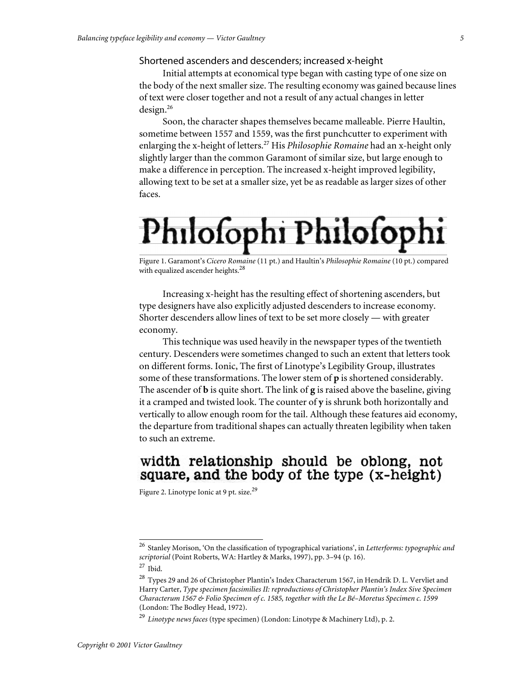## Shortened ascenders and descenders; increased x-height

Initial attempts at economical type began with casting type of one size on the body of the next smaller size. The resulting economy was gained because lines of text were closer together and not a result of any actual changes in letter design.<sup>26</sup>

Soon, the character shapes themselves became malleable. Pierre Haultin, sometime between 1557 and 1559, was the first punchcutter to experiment with enlarging the x-height of letters.<sup>27</sup> His *Philosophie Romaine* had an x-height only slightly larger than the common Garamont of similar size, but large enough to make a difference in perception. The increased x-height improved legibility, allowing text to be set at a smaller size, yet be as readable as larger sizes of other faces.

## Philofophi Philofophi

Figure 1. Garamont's *Cicero Romaine* (11 pt.) and Haultin's *Philosophie Romaine* (10 pt.) compared with equalized ascender heights.<sup>28</sup>

Increasing x-height has the resulting effect of shortening ascenders, but type designers have also explicitly adjusted descenders to increase economy. Shorter descenders allow lines of text to be set more closely — with greater economy.

This technique was used heavily in the newspaper types of the twentieth century. Descenders were sometimes changed to such an extent that letters took on different forms. Ionic, The first of Linotype's Legibility Group, illustrates some of these transformations. The lower stem of **p** is shortened considerably. The ascender of **b** is quite short. The link of **g** is raised above the baseline, giving it a cramped and twisted look. The counter of **y** is shrunk both horizontally and vertically to allow enough room for the tail. Although these features aid economy, the departure from traditional shapes can actually threaten legibility when taken to such an extreme.

## width relationship should be oblong, not square, and the body of the type (x-height)

Figure 2. Linotype Ionic at 9 pt. size.<sup>29</sup>

<sup>&</sup>lt;sup>26</sup> Stanley Morison, 'On the classification of typographical variations', in Letterforms: typographic and *scriptorial* (Point Roberts, WA: Hartley & Marks, 1997), pp. 3–94 (p. 16).

 $27$  Ibid.

<sup>&</sup>lt;sup>28</sup> Types 29 and 26 of Christopher Plantin's Index Characterum 1567, in Hendrik D. L. Vervliet and Harry Carter, *Type specimen facsimilies II: reproductions of Christopher Plantin's Index Sive Specimen Characterum 1567 & Folio Specimen of c. 1585, together with the Le Bé–Moretus Specimen c. 1599* (London: The Bodley Head, 1972).

<sup>&</sup>lt;sup>29</sup> *Linotype news faces* (type specimen) (London: Linotype & Machinery Ltd), p. 2.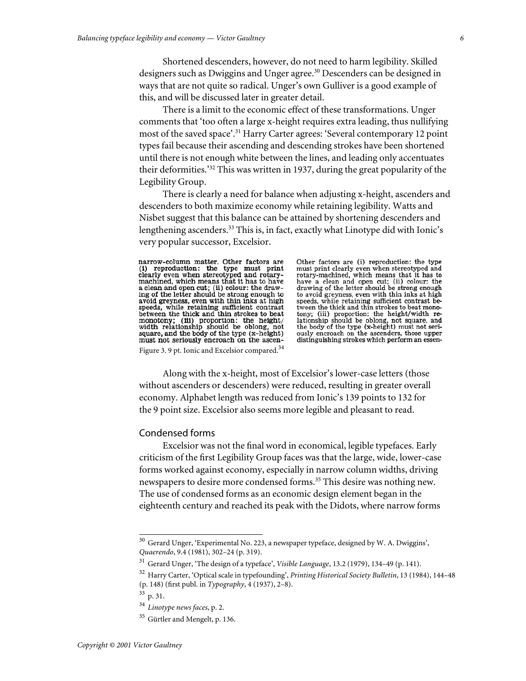Shortened descenders, however, do not need to harm legibility. Skilled designers such as Dwiggins and Unger agree.<sup>30</sup> Descenders can be designed in ways that are not quite so radical. Unger's own Gulliver is a good example of this, and will be discussed later in greater detail.

There is a limit to the economic effect of these transformations. Unger comments that 'too often a large x-height requires extra leading, thus nullifying most of the saved space'.<sup>31</sup> Harry Carter agrees: 'Several contemporary 12 point types fail because their ascending and descending strokes have been shortened until there is not enough white between the lines, and leading only accentuates their deformities.<sup>32</sup> This was written in 1937, during the great popularity of the Legibility Group.

There is clearly a need for balance when adjusting x-height, ascenders and descenders to both maximize economy while retaining legibility. Watts and Nisbet suggest that this balance can be attained by shortening descenders and lengthening ascenders.<sup>33</sup> This is, in fact, exactly what Linotype did with Ionic's very popular successor, Excelsior.

narrow-column matter. Other factors are<br>(1) reproduction: the type must print<br>clearly even when stereotyped and rotarymachined, which means that it has to have maximum which means what is a clean and open cut; (ii) colour: the drawing of the letter should be strong enough to avoid greyness, even with thin inks at high speeds, while retaining sufficient contrast between the thick monotony; (iii) proportion: the height/<br>width relationship should be oblong, not<br>square, and the body of the type (x-height) must not seriously encroach on the ascen-Figure 3. 9 pt. Ionic and Excelsior compared.<sup>34</sup>

Other factors are (i) reproduction: the type<br>must print clearly even when stereotyped and<br>rotary-machined, which means that it has to have a clean and open cut; (ii) colour: the<br>drawing of the letter should be strong enough drawing of the eteer should be strong enough to avoid grepness, even with thin inks at high<br>speeds, while retaining sufficient contrast be-<br>tween the thick and thin strokes to beat mono-<br>tony; (iii) proportion: the height/ the body of the type (x-height) must not seriously encroach on the ascenders, those upper distinguishing strokes which perform an essen-

Along with the x-height, most of Excelsior's lower-case letters (those without ascenders or descenders) were reduced, resulting in greater overall economy. Alphabet length was reduced from Ionic's 139 points to 132 for the 9 point size. Excelsior also seems more legible and pleasant to read.

## Condensed forms

Excelsior was not the final word in economical, legible typefaces. Early criticism of the first Legibility Group faces was that the large, wide, lower-case forms worked against economy, especially in narrow column widths, driving newspapers to desire more condensed forms.<sup>35</sup> This desire was nothing new. The use of condensed forms as an economic design element began in the eighteenth century and reached its peak with the Didots, where narrow forms

 $^{30}$  Gerard Unger, 'Experimental No. 223, a newspaper typeface, designed by W. A. Dwiggins', *Quaerendo*, 9.4 (1981), 302–24 (p. 319).

<sup>&</sup>lt;sup>31</sup> Gerard Unger, 'The design of a typeface', *Visible Language*, 13.2 (1979), 134-49 (p. 141).

<sup>3 2</sup> Harry Carter, 'Optical scale in typefounding', *Printing Historical Society Bulletin*, 13 (1984), 144–48 (p. 148) (first publ. in *Typography*, 4 (1937), 2–8).

<sup>&</sup>lt;sup>33</sup> p. 31.

<sup>3 4</sup> *Linotype news faces*, p. 2.

<sup>&</sup>lt;sup>35</sup> Gürtler and Mengelt, p. 136.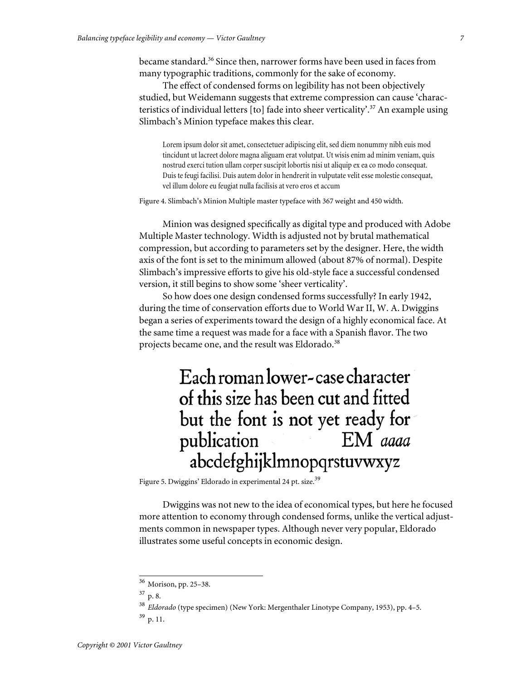became standard.<sup>36</sup> Since then, narrower forms have been used in faces from many typographic traditions, commonly for the sake of economy.

The effect of condensed forms on legibility has not been objectively studied, but Weidemann suggests that extreme compression can cause 'characteristics of individual letters [to] fade into sheer verticality'.<sup>37</sup> An example using Slimbach's Minion typeface makes this clear.

Lorem ipsum dolor sit amet, consectetuer adipiscing elit, sed diem nonummy nibh euis mod tincidunt ut lacreet dolore magna aliguam erat volutpat. Ut wisis enim ad minim veniam, quis nostrud exerci tution ullam corper suscipit lobortis nisi ut aliquip ex ea co modo consequat. Duis te feugi facilisi. Duis autem dolor in hendrerit in vulputate velit esse molestie consequat, vel illum dolore eu feugiat nulla facilisis at vero eros et accum

Figure 4. Slimbach's Minion Multiple master typeface with 367 weight and 450 width.

Minion was designed specifically as digital type and produced with Adobe Multiple Master technology. Width is adjusted not by brutal mathematical compression, but according to parameters set by the designer. Here, the width axis of the font is set to the minimum allowed (about 87% of normal). Despite Slimbach's impressive efforts to give his old-style face a successful condensed version, it still begins to show some 'sheer verticality'.

So how does one design condensed forms successfully? In early 1942, during the time of conservation efforts due to World War II, W. A. Dwiggins began a series of experiments toward the design of a highly economical face. At the same time a request was made for a face with a Spanish flavor. The two projects became one, and the result was Eldorado.<sup>38</sup>

## Each roman lower-case character of this size has been cut and fitted but the font is not yet ready for EM aaaa publication abcdefghijklmnopqrstuvwxyz

Figure 5. Dwiggins' Eldorado in experimental 24 pt. size.<sup>39</sup>

Dwiggins was not new to the idea of economical types, but here he focused more attention to economy through condensed forms, unlike the vertical adjustments common in newspaper types. Although never very popular, Eldorado illustrates some useful concepts in economic design.

 $36$  Morison, pp. 25–38.

 $37$  p. 8.

<sup>&</sup>lt;sup>38</sup> Eldorado (type specimen) (New York: Mergenthaler Linotype Company, 1953), pp. 4-5.

<sup>&</sup>lt;sup>39</sup> p. 11.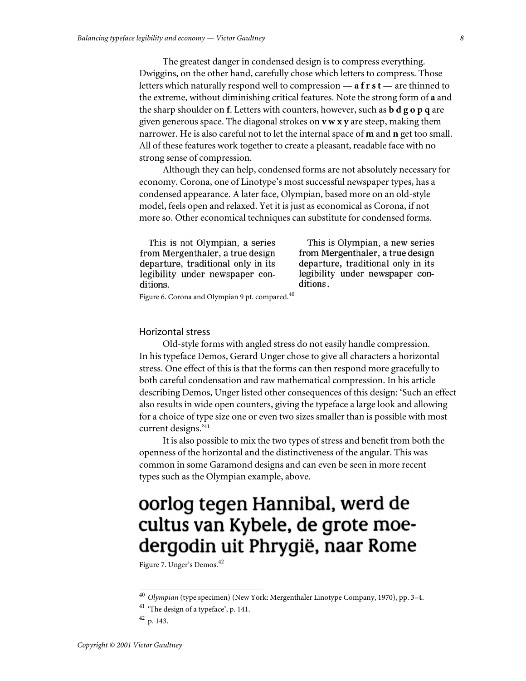The greatest danger in condensed design is to compress everything. Dwiggins, on the other hand, carefully chose which letters to compress. Those letters which naturally respond well to compression — **a f r s t** — are thinned to the extreme, without diminishing critical features. Note the strong form of **a** and the sharp shoulder on **f**. Letters with counters, however, such as **b d g o p q** are given generous space. The diagonal strokes on **v w x y** are steep, making them narrower. He is also careful not to let the internal space of **m** and **n** get too small. All of these features work together to create a pleasant, readable face with no strong sense of compression.

Although they can help, condensed forms are not absolutely necessary for economy. Corona, one of Linotype's most successful newspaper types, has a condensed appearance. A later face, Olympian, based more on an old-style model, feels open and relaxed. Yet it is just as economical as Corona, if not more so. Other economical techniques can substitute for condensed forms.

This is not Olympian, a series from Mergenthaler, a true design departure, traditional only in its legibility under newspaper conditions.

This is Olympian, a new series from Mergenthaler, a true design departure, traditional only in its legibility under newspaper conditions.

Figure 6. Corona and Olympian 9 pt. compared.<sup>40</sup>

#### Horizontal stress

Old-style forms with angled stress do not easily handle compression. In his typeface Demos, Gerard Unger chose to give all characters a horizontal stress. One effect of this is that the forms can then respond more gracefully to both careful condensation and raw mathematical compression. In his article describing Demos, Unger listed other consequences of this design: 'Such an effect also results in wide open counters, giving the typeface a large look and allowing for a choice of type size one or even two sizes smaller than is possible with most current designs.'41

It is also possible to mix the two types of stress and benefit from both the openness of the horizontal and the distinctiveness of the angular. This was common in some Garamond designs and can even be seen in more recent types such as the Olympian example, above.

## oorlog tegen Hannibal, werd de cultus van Kybele, de grote moedergodin uit Phrygië, naar Rome

Figure 7. Unger's Demos.<sup>42</sup>

<sup>&</sup>lt;sup>40</sup> Olympian (type specimen) (New York: Mergenthaler Linotype Company, 1970), pp. 3-4.

 $^{\rm 41}$  'The design of a typeface', p. 141.

<sup>&</sup>lt;sup>42</sup> p. 143.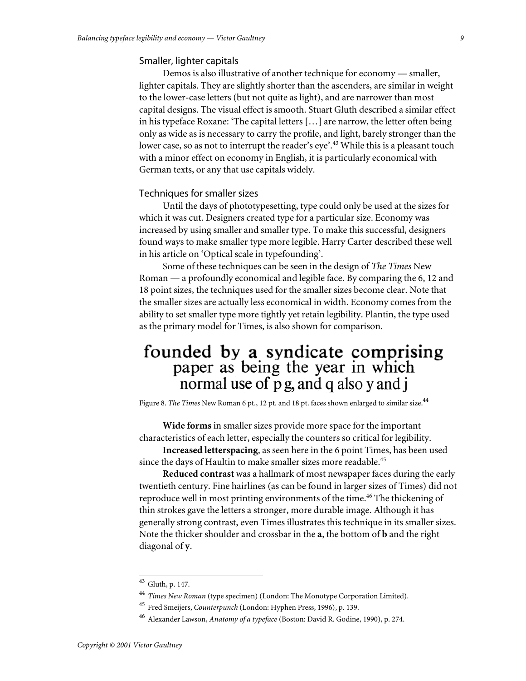#### Smaller, lighter capitals

Demos is also illustrative of another technique for economy — smaller, lighter capitals. They are slightly shorter than the ascenders, are similar in weight to the lower-case letters (but not quite as light), and are narrower than most capital designs. The visual effect is smooth. Stuart Gluth described a similar effect in his typeface Roxane: 'The capital letters […] are narrow, the letter often being only as wide as is necessary to carry the profile, and light, barely stronger than the lower case, so as not to interrupt the reader's eye'.<sup>43</sup> While this is a pleasant touch with a minor effect on economy in English, it is particularly economical with German texts, or any that use capitals widely.

## Techniques for smaller sizes

Until the days of phototypesetting, type could only be used at the sizes for which it was cut. Designers created type for a particular size. Economy was increased by using smaller and smaller type. To make this successful, designers found ways to make smaller type more legible. Harry Carter described these well in his article on 'Optical scale in typefounding'.

Some of these techniques can be seen in the design of *The Times* New Roman — a profoundly economical and legible face. By comparing the 6, 12 and 18 point sizes, the techniques used for the smaller sizes become clear. Note that the smaller sizes are actually less economical in width. Economy comes from the ability to set smaller type more tightly yet retain legibility. Plantin, the type used as the primary model for Times, is also shown for comparison.

## founded by a syndicate comprising paper as being the year in which normal use of p g, and q also y and j

Figure 8. *The Times* New Roman 6 pt., 12 pt. and 18 pt. faces shown enlarged to similar size.<sup>44</sup>

**Wide forms** in smaller sizes provide more space for the important characteristics of each letter, especially the counters so critical for legibility.

**Increased letterspacing**, as seen here in the 6 point Times, has been used since the days of Haultin to make smaller sizes more readable.<sup>45</sup>

**Reduced contrast** was a hallmark of most newspaper faces during the early twentieth century. Fine hairlines (as can be found in larger sizes of Times) did not reproduce well in most printing environments of the time.<sup>46</sup> The thickening of thin strokes gave the letters a stronger, more durable image. Although it has generally strong contrast, even Times illustrates this technique in its smaller sizes. Note the thicker shoulder and crossbar in the **a**, the bottom of **b** and the right diagonal of **y**.

 $43$  Gluth, p. 147.

<sup>&</sup>lt;sup>44</sup> *Times New Roman* (type specimen) (London: The Monotype Corporation Limited).

<sup>&</sup>lt;sup>45</sup> Fred Smeijers, *Counterpunch* (London: Hyphen Press, 1996), p. 139.

<sup>&</sup>lt;sup>46</sup> Alexander Lawson, *Anatomy of a typeface* (Boston: David R. Godine, 1990), p. 274.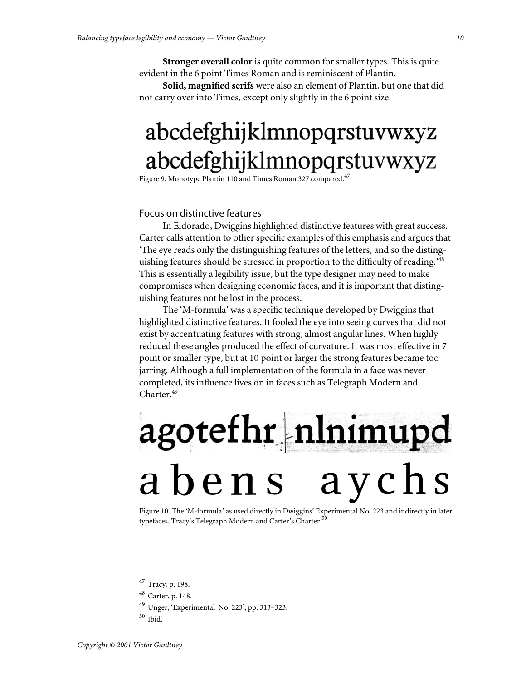**Stronger overall color** is quite common for smaller types. This is quite evident in the 6 point Times Roman and is reminiscent of Plantin.

**Solid, magnified serifs** were also an element of Plantin, but one that did not carry over into Times, except only slightly in the 6 point size.

## abcdefghijklmnopqrstuvwxyz abcdefghijklmnopqrstuvwxyz

Figure 9. Monotype Plantin 110 and Times Roman 327 compared.<sup>47</sup>

## Focus on distinctive features

In Eldorado, Dwiggins highlighted distinctive features with great success. Carter calls attention to other specific examples of this emphasis and argues that 'The eye reads only the distinguishing features of the letters, and so the distinguishing features should be stressed in proportion to the difficulty of reading.<sup>248</sup> This is essentially a legibility issue, but the type designer may need to make compromises when designing economic faces, and it is important that distinguishing features not be lost in the process.

The 'M-formula' was a specific technique developed by Dwiggins that highlighted distinctive features. It fooled the eye into seeing curves that did not exist by accentuating features with strong, almost angular lines. When highly reduced these angles produced the effect of curvature. It was most effective in 7 point or smaller type, but at 10 point or larger the strong features became too jarring. Although a full implementation of the formula in a face was never completed, its influence lives on in faces such as Telegraph Modern and Charter.<sup>49</sup>

# agotefhr nlnimupd abens aychs

Figure 10. The 'M-formula' as used directly in Dwiggins' Experimental No. 223 and indirectly in later typefaces, Tracy's Telegraph Modern and Carter's Charter.<sup>50</sup>

<sup>&</sup>lt;sup>47</sup> Tracy, p. 198.

<sup>&</sup>lt;sup>48</sup> Carter, p. 148.

<sup>&</sup>lt;sup>49</sup> Unger, 'Experimental No. 223', pp. 313-323.

 $50$  Ibid.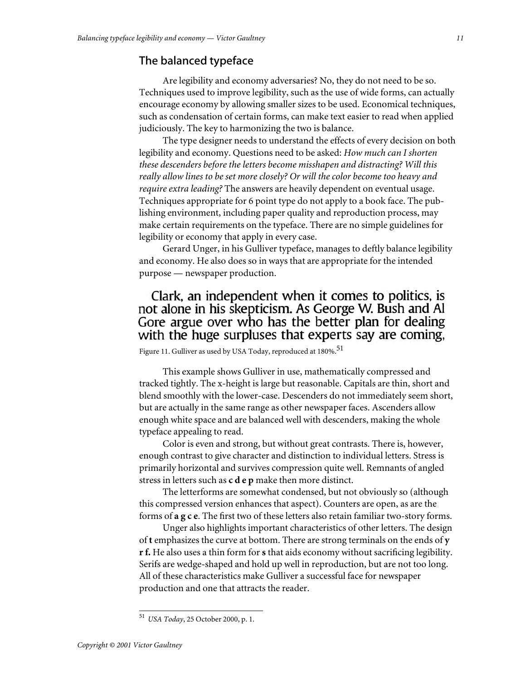## The balanced typeface

Are legibility and economy adversaries? No, they do not need to be so. Techniques used to improve legibility, such as the use of wide forms, can actually encourage economy by allowing smaller sizes to be used. Economical techniques, such as condensation of certain forms, can make text easier to read when applied judiciously. The key to harmonizing the two is balance.

The type designer needs to understand the effects of every decision on both legibility and economy. Questions need to be asked: *How much can I shorten these descenders before the letters become misshapen and distracting? Will this really allow lines to be set more closely? Or will the color become too heavy and require extra leading?* The answers are heavily dependent on eventual usage. Techniques appropriate for 6 point type do not apply to a book face. The publishing environment, including paper quality and reproduction process, may make certain requirements on the typeface. There are no simple guidelines for legibility or economy that apply in every case.

Gerard Unger, in his Gulliver typeface, manages to deftly balance legibility and economy. He also does so in ways that are appropriate for the intended purpose — newspaper production.

## Clark, an independent when it comes to politics, is not alone in his skepticism. As George W. Bush and Al Gore argue over who has the better plan for dealing with the huge surpluses that experts say are coming,

Figure 11. Gulliver as used by USA Today, reproduced at 180%.<sup>51</sup>

This example shows Gulliver in use, mathematically compressed and tracked tightly. The x-height is large but reasonable. Capitals are thin, short and blend smoothly with the lower-case. Descenders do not immediately seem short, but are actually in the same range as other newspaper faces. Ascenders allow enough white space and are balanced well with descenders, making the whole typeface appealing to read.

Color is even and strong, but without great contrasts. There is, however, enough contrast to give character and distinction to individual letters. Stress is primarily horizontal and survives compression quite well. Remnants of angled stress in letters such as **c d e p** make then more distinct.

The letterforms are somewhat condensed, but not obviously so (although this compressed version enhances that aspect). Counters are open, as are the forms of **a g c e**. The first two of these letters also retain familiar two-story forms.

Unger also highlights important characteristics of other letters. The design of **t** emphasizes the curve at bottom. There are strong terminals on the ends of **y r f.** He also uses a thin form for **s** that aids economy without sacrificing legibility. Serifs are wedge-shaped and hold up well in reproduction, but are not too long. All of these characteristics make Gulliver a successful face for newspaper production and one that attracts the reader.

5 1 *USA Today*, 25 October 2000, p. 1.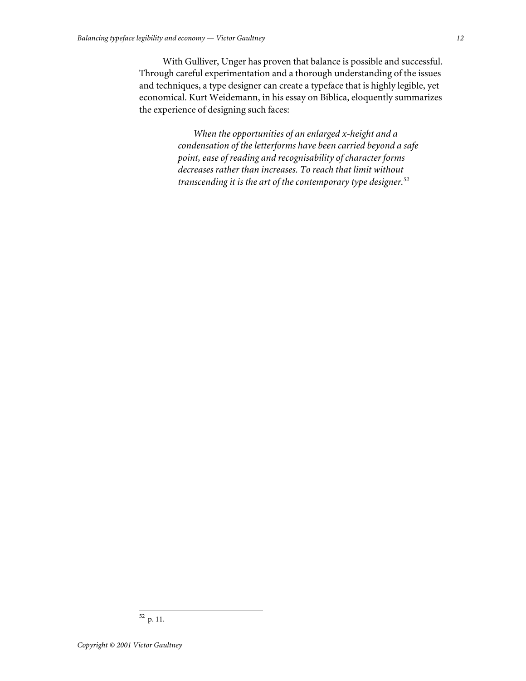With Gulliver, Unger has proven that balance is possible and successful. Through careful experimentation and a thorough understanding of the issues and techniques, a type designer can create a typeface that is highly legible, yet economical. Kurt Weidemann, in his essay on Biblica, eloquently summarizes the experience of designing such faces:

> *When the opportunities of an enlarged x-height and a condensation of the letterforms have been carried beyond a safe point, ease of reading and recognisability of character forms decreases rather than increases. To reach that limit without transcending it is the art of the contemporary type designer.*<sup>52</sup>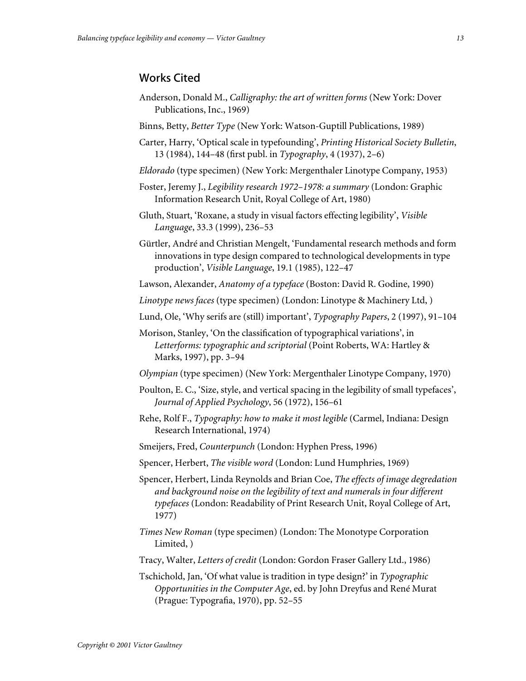## Works Cited

- Anderson, Donald M., *Calligraphy: the art of written forms* (New York: Dover Publications, Inc., 1969)
- Binns, Betty, *Better Type* (New York: Watson-Guptill Publications, 1989)
- Carter, Harry, 'Optical scale in typefounding', *Printing Historical Society Bulletin*, 13 (1984), 144–48 (first publ. in *Typography*, 4 (1937), 2–6)
- *Eldorado* (type specimen) (New York: Mergenthaler Linotype Company, 1953)
- Foster, Jeremy J., *Legibility research 1972–1978: a summary* (London: Graphic Information Research Unit, Royal College of Art, 1980)
- Gluth, Stuart, 'Roxane, a study in visual factors effecting legibility', *Visible Language*, 33.3 (1999), 236–53
- Gürtler, André and Christian Mengelt, 'Fundamental research methods and form innovations in type design compared to technological developments in type production', *Visible Language*, 19.1 (1985), 122–47
- Lawson, Alexander, *Anatomy of a typeface* (Boston: David R. Godine, 1990)
- *Linotype news faces* (type specimen) (London: Linotype & Machinery Ltd, )
- Lund, Ole, 'Why serifs are (still) important', *Typography Papers*, 2 (1997), 91–104
- Morison, Stanley, 'On the classification of typographical variations', in *Letterforms: typographic and scriptorial* (Point Roberts, WA: Hartley & Marks, 1997), pp. 3–94
- *Olympian* (type specimen) (New York: Mergenthaler Linotype Company, 1970)
- Poulton, E. C., 'Size, style, and vertical spacing in the legibility of small typefaces', *Journal of Applied Psychology*, 56 (1972), 156–61
- Rehe, Rolf F., *Typography: how to make it most legible* (Carmel, Indiana: Design Research International, 1974)
- Smeijers, Fred, *Counterpunch* (London: Hyphen Press, 1996)
- Spencer, Herbert, *The visible word* (London: Lund Humphries, 1969)
- Spencer, Herbert, Linda Reynolds and Brian Coe, *The effects of image degredation and background noise on the legibility of text and numerals in four different typefaces* (London: Readability of Print Research Unit, Royal College of Art, 1977)
- *Times New Roman* (type specimen) (London: The Monotype Corporation Limited, )
- Tracy, Walter, *Letters of credit* (London: Gordon Fraser Gallery Ltd., 1986)
- Tschichold, Jan, 'Of what value is tradition in type design?' in *Typographic Opportunities in the Computer Age*, ed. by John Dreyfus and René Murat (Prague: Typografia, 1970), pp. 52–55